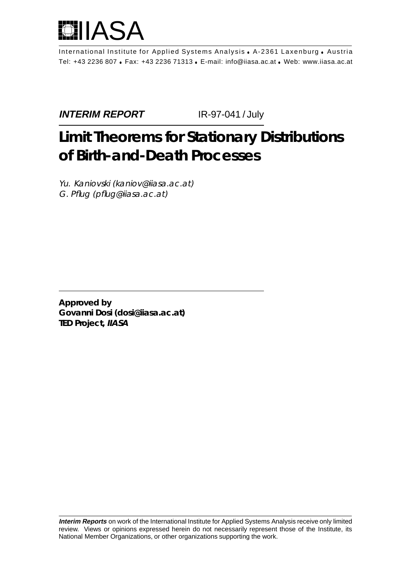

International Institute for Applied Systems Analysis . A-2361 Laxenburg . Austria Tel: +43 2236 807 Fax: +43 2236 71313 E-mail: info@iiasa.ac.at Web: www.iiasa.ac.at

**INTERIM REPORT IR-97-041 / July** 

# **Limit Theorems for Stationary Distributions of Birth-and-Death Processes**

Yu. Kaniovski (kaniov@iiasa.ac.at) G. Pflug (pflug@iiasa.ac.at)

**Approved by Govanni Dosi (dosi@iiasa.ac.at) TED Project, IIASA**

**Interim Reports** on work of the International Institute for Applied Systems Analysis receive only limited review. Views or opinions expressed herein do not necessarily represent those of the Institute, its National Member Organizations, or other organizations supporting the work.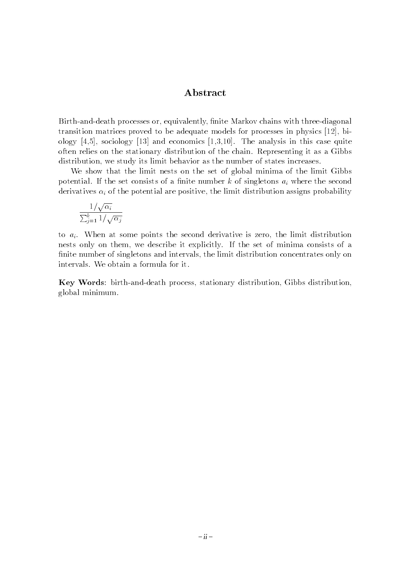#### Abstract

Birth-and-death processes or, equivalently, finite Markov chains with three-diagonal transition matrices proved to be adequate models for processes in physics [12], biology  $[4,5]$ , sociology  $[13]$  and economics  $[1,3,10]$ . The analysis in this case quite often relies on the stationary distribution of the chain. Representing it as a Gibbs distribution, we study its limit behavior as the number of states increases.

We show that the limit nests on the set of global minima of the limit Gibbs potential. If the set consists of a finite number k of singletons  $a_i$  where the second derivatives  $\alpha_i$  of the potential are positive, the limit distribution assigns probability

$$
\frac{1/\sqrt{\alpha_i}}{\sum_{j=1}^k 1/\sqrt{\alpha_j}}
$$

to  $a_i$ . When at some points the second derivative is zero, the limit distribution nests only on them, we describe it explicitly. If the set of minima consists of a finite number of singletons and intervals, the limit distribution concentrates only on intervals. We obtain a formula for it.

Key Words: birth-and-death process, stationary distribution, Gibbs distribution, global minimum.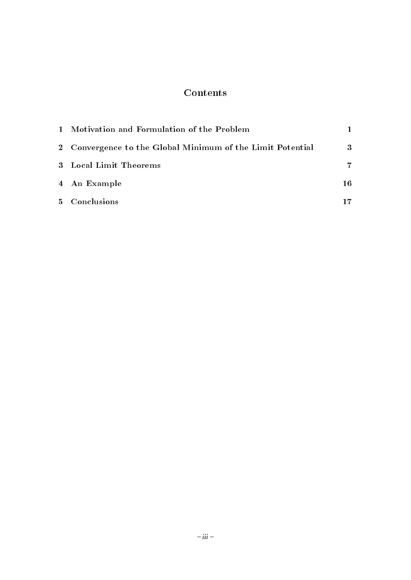### Contents

| 1 Motivation and Formulation of the Problem                |    |  |
|------------------------------------------------------------|----|--|
| 2 Convergence to the Global Minimum of the Limit Potential |    |  |
| 3 Local Limit Theorems                                     |    |  |
| 4 An Example                                               | 16 |  |
| 5 Conclusions                                              | 17 |  |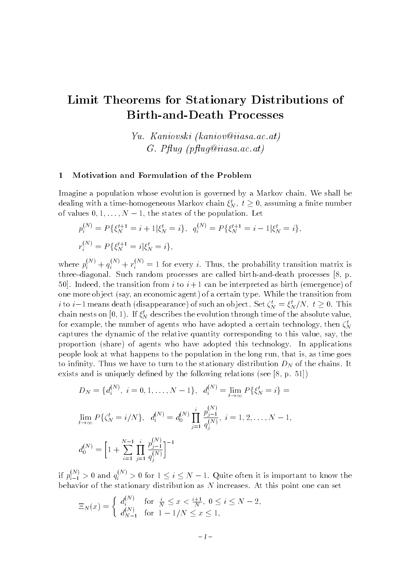## Limit Theorems for Stationary Distributions of Birth-and-Death Processes

Yu. Kaniovski (kaniov@iiasa.ac.at) $G.$  Pfluq (pfluq@iiasa.ac.at)

#### 1 Motivation and Formulation of the Problem

Imagine a population whose evolution is governed by a Markov chain. We shall be dealing with a time-homogeneous Markov chain  $\zeta_N$ ,  $t \geq 0$ , assuming a finite number of values of values of the population. Let  $\mathbf{I}$ 

$$
p_i^{(N)} = P\{\xi_N^{t+1} = i+1 | \xi_N^t = i\}, \quad q_i^{(N)} = P\{\xi_N^{t+1} = i-1 | \xi_N^t = i\},
$$
  

$$
r_i^{(N)} = P\{\xi_N^{t+1} = i | \xi_N^t = i\},
$$

where  $p_i^{\gamma}$  +  $q_i^{\gamma}$  +  $r_i^{\gamma}$  = 1 for every i. Thus, the probability transition matrix is three-diagonal. Such random processes are called birth-and-death processes [8, p. 50. Indeed, the transition from i to  $i+1$  can be interpreted as birth (emergence) of one more ob ject (say, an economic agent) of a certain type. While the transition from chain nests on  $[0, 1)$ . If  $\xi_N^t$  describes the evolution through time of the absolute value,  $\zeta_N = \zeta_N/\nu, \ \nu \geq 1$ for example, the number of agents who have adopted a certain technology, then  $\zeta_N$ ne and a series of the series of the series of the series of the series of the series of the series of the series of the series of the series of the series of the series of the series of the series of the series of the ser captures the dynamic of the relative quantity corresponding to this value, say, the proportion (share) of agents who have adopted this technology. In applications people look at what happens to the population in the long run, that is, as time goes to infinity. Thus we have to turn to the stationary distribution  $D_N$  of the chains. It exists and is uniquely defined by the following relations (see  $[8, p. 51]$ )

$$
D_N = \{d_i^{(N)}, i = 0, 1, ..., N - 1\}, \quad d_i^{(N)} = \lim_{t \to \infty} P\{\xi_N^t = i\} = \lim_{t \to \infty} P\{\zeta_N^t = i/N\}, \quad d_i^{(N)} = d_0^{(N)} \prod_{j=1}^i \frac{p_{j-1}^{(N)}}{q_j^{(N)}}, \quad i = 1, 2, ..., N - 1,
$$

$$
d_0^{(N)} = \left[1 + \sum_{i=1}^{N-1} \prod_{j=1}^i \frac{p_{j-1}^{(N)}}{q_j^{(N)}}\right]^{-1}
$$

if  $p_{i-1}^{\cdots} > 0$  and  $q_i^{\cdots} > 0$  for  $1 \leq i \leq N-1$ . Quite often it is important to know the behavior of the stationary distribution as  $N$  increases. At this point one can set

$$
\Xi_N(x) = \begin{cases} d_i^{(N)} & \text{for } \frac{i}{N} \le x < \frac{i+1}{N}, \ 0 \le i \le N-2, \\ d_{N-1}^{(N)} & \text{for } 1 - 1/N \le x \le 1, \end{cases}
$$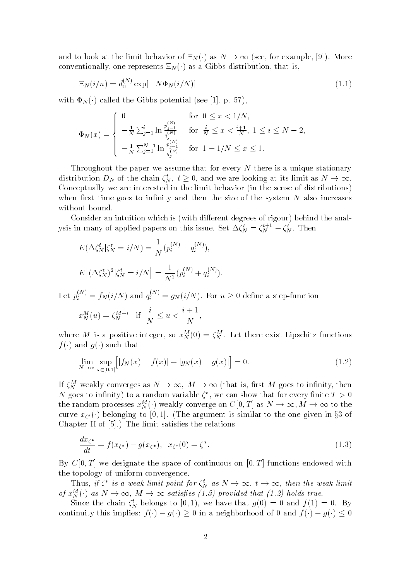conventionally, one represents  $\Xi_N(\cdot)$  as a Gibbs distribution, that is,<br> $\Xi_N(i/n) = d^{(N)} \exp[-N \Phi_N(i/N)]$ . (11). conventionally, one represents  $-n \left( \right)$  as a Gibbs distribution, that is,

$$
\Xi_N(i/n) = d_0^{(N)} \exp[-N\Phi_N(i/N)] \tag{1.1}
$$

with  $\Phi_N(\cdot)$  called the Gibbs potential (see [1], p. 57),

$$
\Phi_N(x) = \begin{cases}\n0 & \text{for } 0 \le x < 1/N, \\
-\frac{1}{N} \sum_{j=1}^i \ln \frac{p_{j-1}^{(N)}}{q_j^{(N)}} & \text{for } \frac{i}{N} \le x < \frac{i+1}{N}, 1 \le i \le N-2, \\
-\frac{1}{N} \sum_{j=1}^{N-1} \ln \frac{p_{j-1}^{(N)}}{q_j^{(N)}} & \text{for } 1 - 1/N \le x \le 1.\n\end{cases}
$$

Throughout the paper we assume that for every  $N$  there is a unique stationary distribution  $D_N$  of the chain  $\zeta_N,~t\geq$ Conceptually we are interested in the limit behavior (in the sense of distributions) when first time goes to infinity and then the size of the system  $N$  also increases without bound.

Consider an intuition which is (with different degrees of rigour) behind the analysis in many of applied papers on this issue. Set  $\Delta \zeta_N^* = \zeta_N^{**-} - \zeta_N^*$ . Then

$$
E(\Delta \zeta_N^t | \zeta_N^t = i/N) = \frac{1}{N} (p_i^{(N)} - q_i^{(N)}),
$$
  

$$
E[(\Delta \zeta_N^t)^2 | \zeta_N^t = i/N] = \frac{1}{N^2} (p_i^{(N)} + q_i^{(N)}).
$$

Let  $p_i^{(m)} = f_N(i/N)$  and  $q_i^{(m)} = g_N(i/N)$ . For  $u \geq 0$  define a step-function

$$
x_N^M(u) = \zeta_N^{M+i} \quad \text{if} \quad \frac{i}{N} \le u < \frac{i+1}{N},
$$

where M is a positive integer, so  $x_N^-(0) = \zeta_N^+$ . Let there exist Lipschitz functions  $f(\cdot)$  and  $g(\cdot)$  such that

$$
\lim_{N \to \infty} \sup_{x \in [0,1]} [ |f_N(x) - f(x)| + |g_N(x) - g(x)| ] = 0.
$$
\n(1.2)

If  $\zeta_N^M$  weakly converges as  $N \to \infty$ ,  $M \to \infty$  (that is, first M goes to infinity, then N goes to infinity) to a random variable  $\zeta^*$ , we can show that for every finite  $T > 0$ <br>the random processes  $x_N^M(\cdot)$  weakly converge on  $C[0,T]$  as  $N \to \infty$ ,  $M \to \infty$  to the IV goes to infinity) to a random variable  $\zeta$  , we can show that for every finite  $I > 0$  $\overline{[0, 1]}$ . (The argument is similar to the one given in §3 of limit satisfies the relations curve  $\left($   $\right)$  belonging to  $\left($   $\right)$ . (The argument is similar to the one given in  $\left($ s of Chapter II of  $[5]$ .) The limit satisfies the relations

$$
\frac{dx_{\zeta^*}}{dt} = f(x_{\zeta^*}) - g(x_{\zeta^*}), \quad x_{\zeta^*}(0) = \zeta^*.
$$
\n(1.3)

By  $C[0,T]$  we designate the space of continuous on  $[0,T]$  functions endowed with the topology of uniform convergence.

Inus, if  $\zeta$  is a weak limit point for  $\zeta_N$  d of  $x_N^M(\cdot)$  as  $N \to \infty$ ,  $M \to \infty$  satisfies (1.3) provided that (1.2) holds true.

1.3) provided that (1.2) holds true.<br>we have that  $g(0) = 0$  and  $f(1) = 0$ . By Since the chain  $\zeta_N^t$  belongs to [0, 1), we have that  $g(0) = 0$  and  $f(1) =$ <br>inuity this implies:  $f(\cdot) - g(\cdot) \ge 0$  in a neighborhood of 0 and  $f(\cdot) - g(\cdot)$ Since the chain  $\zeta_N$  belongs to [0, 1], we have that  $g(0) = 0$  and  $f(1) = 0$ . By continuity this implies:  $f(\cdot) - g(\cdot) \ge 0$  in a neighborhood of 0 and  $f(\cdot) - g(\cdot) \le 0$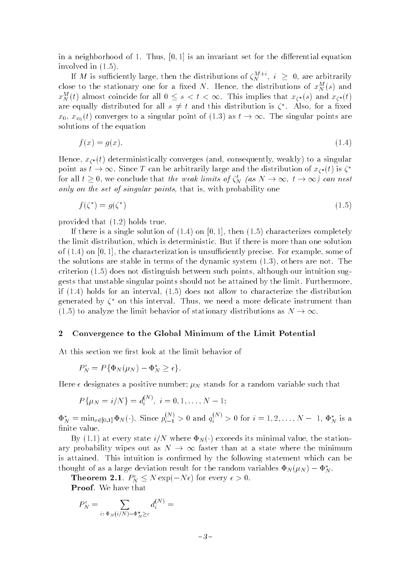in a neighborhood of 1. Thus,  $[0, 1]$  is an invariant set for the differential equation involved in (1.5).

If M is sufficiently large, then the distributions of  $\zeta_N^{N+1}, \ i \geq 1$ close to the stationary one for a fixed N. Hence, the distributions of  $x_N^M(s)$  and  $x_N^-(\iota)$  almost coincide for all  $0\leq s$  $\Rightarrow t$  and this distribution is  $\zeta^*$ . Also, for a fixed  $x_0, x_{x_0}(t)$  converges to a singular point of (1.3) as  $t \to \infty$ . The singular points are solutions of the equation<br>  $f(x) = g(x)$  (1.4) solutions of the equation

$$
f(x) = g(x). \tag{1.4}
$$

Hence,  $x_{\zeta^*}(t)$  deterministically converges (and, consequently, weakly) to a singular for all  $t \geq 0$ , we conclude that the weak limits of  $\zeta_N^t$  (as  $N \to \infty$ ,  $t \to \infty$ ) can nest<br>only on the set of singular points, that is, with probability one point as  $t \to \infty$ . Since T can be arbitrarily large and the distribution of  $x_{\zeta^*}(t)$  is  $\zeta^*$ for all  $t \geq 0$ , we conclude that *the weak umus of*  $\zeta_M$ the set of singular points, that is, with probability one<br>  $\chi^*$  =  $g(\zeta^*)$  (1.5) only on the set of singular points, that is, with probability one of singular points, with probability one of  $\mathcal{N}$ 

$$
f(\zeta^*) = g(\zeta^*) \tag{1.5}
$$

provided that (1.2) holds true.

If there is a single solution of  $(1.4)$  on  $[0,1]$ , then  $(1.5)$  characterizes completely the limit distribution, which is deterministic. But if there is more than one solution of  $(1.4)$  on  $[0, 1]$ , the characterization is unsufficiently precise. For example, some of the solutions are stable in terms of the dynamic system (1.3), others are not. The criterion (1.5) does not distinguish between such points, although our intuition suggests that unstable singular points should not be attained by the limit. Furthermore, if (1.4) holds for an interval, (1.5) does not allow to characterize the distribution generated by  $\zeta$  on this interval. Thus, we need a more delicate instrument than

# $\begin{array}{c} \bullet \end{array}$  Convergence to the Global Minimum of the Limit Potential

At this section we first look at the limit behavior of

$$
P_N^{\epsilon} = P\{\Phi_N(\mu_N) - \Phi_N^* \geq \epsilon\}.
$$

Here  $\epsilon$  designates a positive number;  $\mu_N$  stands for a random variable such that

$$
P\{\mu_N = i/N\} = d_i^{(N)}, \ i = 0, 1, \dots, N-1;
$$

 $\Phi_N^* = \min_{x \in [0,1]} \Phi_N(\cdot)$ . Since  $p_{i-1}^{(n)} > 0$  and  $q_i^{(n)} > 0$  for  $i = 1, 2, ..., N-1$ ,  $\Phi_N^*$  is a finite value.

ary probability wipes out as  $N \to \infty$  faster than at a state where the minimum is attained. This intuition is confirmed by the following statement which can be<br>thought of as a large deviation result for the random variables  $\Phi_N(\mu_N) - \Phi_N^*$ . is attained. This intuition is confirmed by the following statement which can be

**Theorem 2.1.**  $F_N \leq N \exp(-N\epsilon)$  for every  $\epsilon > 0$ .

Proof. We have that

$$
P_N^{\epsilon} = \sum_{i \colon \Phi_N(i/N) - \Phi_N^* \ge \epsilon} d_i^{(N)} =
$$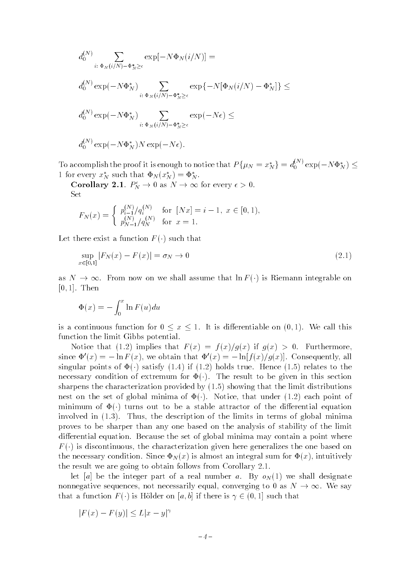$$
d_0^{(N)} \sum_{i: \Phi_N(i/N) - \Phi_N^* \ge \epsilon} \exp[-N\Phi_N(i/N)] =
$$
  

$$
d_0^{(N)} \exp(-N\Phi_N^*) \sum_{i: \Phi_N(i/N) - \Phi_N^* \ge \epsilon} \exp\{-N[\Phi_N(i/N) - \Phi_N^*]\} \le
$$
  

$$
d_0^{(N)} \exp(-N\Phi_N^*) \sum_{i: \Phi_N(i/N) - \Phi_N^* \ge \epsilon} \exp(-N\epsilon) \le
$$
  

$$
d_0^{(N)} \exp(-N\Phi_N^*) N \exp(-N\epsilon).
$$

To accomplish the proof it is enough to notice that  $P\{\mu_N = x_N^*\} = d_0^{\lambda N} \exp(-N \Phi_N^*) \le$ 1 for every  $x_N^*$  such that  $\Phi_N(x_N^*)=\Phi_N^*$ .

**Corollary 2.1.**  $P_N^{\epsilon} \to 0$  as  $N \to \infty$  for every  $\epsilon > 0$ . (*N*) for  $[Nx] = i - 1$ ,  $x \in [0, 1)$ . Set

$$
F_N(x) = \begin{cases} p_{i-1}^{(N)}/q_i^{(N)} & \text{for } [Nx] = i - 1, \ x \in [0, 1), \\ p_{N-1}^{(N)}/q_N^{(N)} & \text{for } x = 1. \end{cases}
$$

Let there exist a function  $F(\cdot)$  such that

$$
\sup_{x \in [0,1]} |F_N(x) - F(x)| = \sigma_N \to 0
$$
\n(2.1)

[0, 1]. Then<br> $\frac{x}{\sqrt{x}}$   $\frac{1}{\sqrt{x}}$   $\frac{1}{\sqrt{x}}$  (b) is  $\frac{1}{\sqrt{x}}$  (c) is  $\frac{1}{\sqrt{x}}$  (c) is  $\frac{1}{\sqrt{x}}$  (c) is  $\frac{1}{\sqrt{x}}$  (c) is  $\frac{1}{\sqrt{x}}$  (c) is  $\frac{1}{\sqrt{x}}$  (c) is  $\frac{1}{\sqrt{x}}$  (c) is  $\frac{1}{\sqrt{x}}$  (c) is  $\frac{1}{\sqrt{x}}$  (c  $[0, 1]$ . Then

$$
\Phi(x) = -\int_0^x \ln F(u) du
$$

 $\frac{1}{\sqrt{2}}$  is a continuous function for  $\frac{1}{\sqrt{2}}$  is differentiable on  $\frac{1}{\sqrt{2}}$ . We call this differentiable on  $\frac{1}{\sqrt{2}}$ . function the limit Gibbs potential.

Notice that (1.2) implies that  $F(x) = f(x)/g(x)$  if  $g(x) > 0$ . Furthermore, since  $\Psi(x) = -\ln F(x)$ , we obtain that  $\Psi(x) = -\ln[f(x)/g(x)]$ . Consequently, all singular points of  $\Phi(\cdot)$  satisfy (1.4) if (1.2) holds true. Hence (1.5) relates to the necessary condition of extremum for  $\Phi(\cdot)$ . The result to be given in this section sharpens the characterization provided by  $(1.5)$  showing that the limit distributions nest on the set of global minima of  $\Phi(\cdot)$ . Notice, that under (1.2) each point of minimum of  $\Phi(\cdot)$  turns out to be a stable attractor of the differential equation involved in  $(1.3)$ . Thus, the description of the limits in terms of global minima proves to be sharper than any one based on the analysis of stability of the limit differential equation. Because the set of global minima may contain a point where the necessary condition. Since  $\Phi_N(x)$  is almost an integral sum for  $\Phi(x)$ , intuitively the result we are going to obtain follows from Corollary 2.1.

let [a] be the integer part of a real number a. By  $o<sub>N</sub>(1)$  we shall designate that a function  $F(\cdot)$  is Hölder on  $[a, b]$  if there is  $\gamma \in (0, 1]$  such that<br> $|F(x) - F(y)| \le L|x - y|^{\gamma}$  $\begin{pmatrix} 1 & 1 \\ 0 & 1 \end{pmatrix}$  is Holder on  $\begin{pmatrix} 1 & 1 \\ 0 & 1 \end{pmatrix}$  if there is  $\begin{pmatrix} 1 & 1 \\ 0 & 1 \end{pmatrix}$ 

$$
|F(x) - F(y)| \le L|x - y|^{\gamma}
$$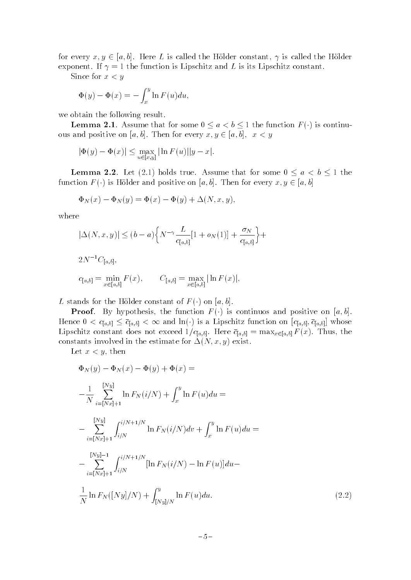for every  $x, y \in [a, b]$ . Here L is called the Hölder constant,  $\gamma$  is called the Hölder exponent. If  $\gamma = 1$  the function is Lipschitz and L is its Lipschitz constant.

Since for  $x < y$ 

$$
\Phi(y) - \Phi(x) = -\int_x^y \ln F(u) du,
$$

we obtain the following result.

 $\frac{1}{\sqrt{2}}$  . Assume  $\frac{1}{\sqrt{2}}$  or some  $\frac{1}{\sqrt{2}}$  for some  $\frac{1}{\sqrt{2}}$  and  $\frac{1}{\sqrt{2}}$  is continued for  $\frac{1}{\sqrt{2}}$  and  $\frac{1}{\sqrt{2}}$  and  $\frac{1}{\sqrt{2}}$  and  $\frac{1}{\sqrt{2}}$  and  $\frac{1}{\sqrt{2}}$  and  $\frac{1}{\sqrt{2}}$  and  $\frac{1}{\$  $\mathbf{r}$  and  $\mathbf{r}$ ,  $\mathbf{r}$ ,  $\mathbf{r}$ ,  $\mathbf{r}$ ,  $\mathbf{r}$ ,  $\mathbf{r}$ ,  $\mathbf{r}$ ,  $\mathbf{r}$ ,  $\mathbf{r}$ ,  $\mathbf{r}$ ,  $\mathbf{r}$ ,  $\mathbf{r}$ ,  $\mathbf{r}$ ,  $\mathbf{r}$ ,  $\mathbf{r}$ ,  $\mathbf{r}$ ,  $\mathbf{r}$ ,  $\mathbf{r}$ ,  $\mathbf{r}$ ,  $\mathbf{r}$ ,  $\mathbf{r}$ 

$$
|\Phi(y) - \Phi(x)| \le \max_{u \in [x,y]} |\ln F(u)| |y - x|.
$$

**Lemma 2.2.** Let (2.1) holds true. Assume that for some  $0 \le a \le b \le 1$  the function  $F(\cdot)$  is Hölder and positive on [a, b]. Then for every  $x, y \in [a, b]$ 

$$
\Phi_N(x) - \Phi_N(y) = \Phi(x) - \Phi(y) + \Delta(N, x, y),
$$

where

$$
|\Delta(N, x, y)| \le (b - a) \Big\{ N^{-\gamma} \frac{L}{c_{[a, b]}} [1 + o_N(1)] + \frac{\sigma_N}{c_{[a, b]}} \Big\} +
$$
  

$$
2N^{-1} C_{[a, b]},
$$
  

$$
c_{[a, b]} = \min_{x \in [a, b]} F(x), \qquad C_{[a, b]} = \max_{x \in [a, b]} |\ln F(x)|,
$$

L stands for the Hölder constant of  $F(\cdot)$  on [a, b].<br>**Proof.** By hypothesis, the function  $F(\cdot)$  is continuos and positive on [a, b]. Hence  $0 < c_{[a,b]} \leq \overline{c}_{[a,b]} < \infty$  and  $\ln(\cdot)$  is a Lipschitz function on  $[c_{[a,b]}, \overline{c}_{[a,b]}]$  whose Lipschitz constant does not exceed  $1/c_{[a,b]}$ . Here  $\bar{c}_{[a,b]} = \max_{x \in [a,b]} F(x)$ . Thus, the constants involved in the estimate for  $\Delta(N, x, y)$  exist.

Let  $x < y$ , then

$$
\Phi_N(y) - \Phi_N(x) - \Phi(y) + \Phi(x) =
$$
\n
$$
-\frac{1}{N} \sum_{i=[Nx]+1}^{[Ny]} \ln F_N(i/N) + \int_x^y \ln F(u) du =
$$
\n
$$
-\sum_{i=[Nx]+1}^{[Ny]} \int_{i/N}^{i/N+1/N} \ln F_N(i/N) dv + \int_x^y \ln F(u) du =
$$
\n
$$
-\sum_{i=[Nx]+1}^{[Ny]-1} \int_{i/N}^{i/N+1/N} [\ln F_N(i/N) - \ln F(u)] du -
$$
\n
$$
\frac{1}{N} \ln F_N([Ny]/N) + \int_{[Ny]/N}^y \ln F(u) du.
$$
\n(2.2)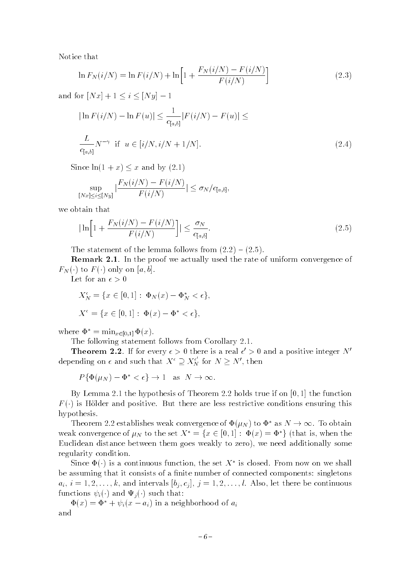Notice that

$$
\ln F_N(i/N) = \ln F(i/N) + \ln \left[ 1 + \frac{F_N(i/N) - F(i/N)}{F(i/N)} \right]
$$
\n(2.3)

and for  $[0, x] + 1 = 1 - 1, 2$ 

$$
|\ln F(i/N) - \ln F(u)| \le \frac{1}{c_{[a,b]}} |F(i/N) - F(u)| \le
$$
  

$$
\frac{L}{c_{[a,b]}} N^{-\gamma} \text{ if } u \in [i/N, i/N + 1/N].
$$
 (2.4)

Since  $\ln(1+x) \leq x$  and by  $(2.1)$ 

$$
\sup_{\substack{[Nx]\leq i\leq [Ny] \\ \text{tain that}}} |\frac{F_N(i/N)-F(i/N)}{F(i/N)}| \leq \sigma_N/c_{[a,b]},
$$

we obtain that

$$
|\ln\left[1 + \frac{F_N(i/N) - F(i/N)}{F(i/N)}\right]| \le \frac{\sigma_N}{c_{[a,b]}}.
$$
\nThe statement of the lemma follows from (2.2) – (2.5).

**Remark 2.1.** In the proof we actually used the rate of uniform convergence of

Let for an  $\epsilon > 0$ 

$$
X_N^{\epsilon} = \{ x \in [0, 1] : \Phi_N(x) - \Phi_N^* < \epsilon \},
$$
  

$$
X^{\epsilon} = \{ x \in [0, 1] : \Phi(x) - \Phi^* < \epsilon \},
$$

where  $\Phi^* = \min_{x \in [0,1]} \Phi(x)$ .

The following statement follows from Corollary 2.1.

**Theorem 2.2.** If for every  $\epsilon > 0$  there is a real  $\epsilon > 0$  and a positive integer N depending on  $\epsilon$  and such that  $X^{\epsilon} \supseteq X^{\epsilon}_N$  for  $N \geq N'$ , then

$$
P\{\Phi(\mu_N) - \Phi^* < \epsilon\} \to 1 \quad \text{as} \quad N \to \infty.
$$

 $P\{\Psi(\mu_N) - \Psi \leq \epsilon\} \to 1$  as  $N \to \infty$ .<br>  $P$  Lemma 2.1 the hypothesis of Theorem 2.2<br>  $P$  s Hölder and positive But there are less r By Lemma 2.1 the hypothesis of Theorem 2.2 holds true if on [0; 1] the function  $F(\cdot)$  is Hölder and positive. But there are less restrictive conditions ensuring this hypothesis.

Theorem 2.2 establishes weak convergence of  $\Psi(M)$  to  $\Psi$  as  $N \to \infty$ . To obtain<br>
k convergence of  $\mu_N$  to the set  $X^* = \{x \in [0,1] : \Phi(x) = \Phi^*\}$  (that is, when the<br>
clidean distance between them goes weakly to zero), we n weak convergence of  $\mu_N$  to the set  $X = \{x \in [0, 1]: \Psi(x) = \Psi\}$  (that is, when the Euclidean distance between them goes weakly to zero), we need additionally some regularity condition.

Since  $\Psi(\cdot)$  is a continuous function, the set  $\Lambda$  is closed. From now on we shall be assuming that it consists of a finite number of connected components: singletons  $a_i, i = 1, 2, \ldots, k$ , and intervals  $[b_j, c_j], j = 1, 2, \ldots, l$ . Also, let there be continuous

 $\Phi(x) = \Phi^* + \psi_i(x - a_i)$  in a neighborhood of  $a_i$ and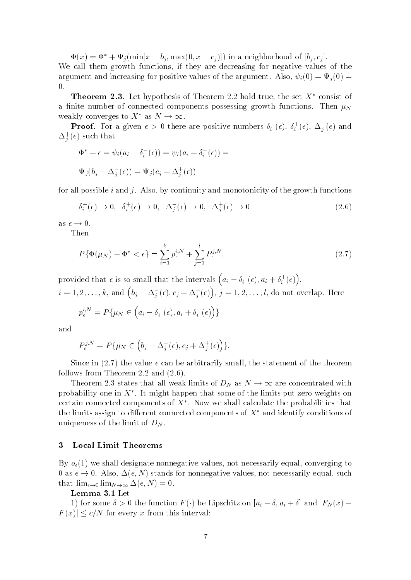$\Phi(x) = \Phi^* + \Psi_i(\min[x - b_i, \max(0, x - c_i)])$  in a neighborhood of  $[b_i, c_i]$ . We call them growth functions, if they are decreasing for negative values of the argument and increasing for positive values of the argument. Also,  $\psi_i(0) = \Psi_i(0)$  = 0.

**Theorem 2.3**. Let hypothesis of Theorem 2.2 hold true, the set  $X^*$  consist of a finite number of connected components possessing growth functions. Then  $\mu_N$ 

weakly converges to  $\Lambda$  as  $N \to \infty$ .<br> **Proof**. For a given  $\epsilon > 0$  there are positive numbers  $\delta_i^-(\epsilon)$ ,<br>  $\Delta_j^+(\epsilon)$  such that  $_i$  (e),  $o_i$  (e),  $\Delta_i$  (e) and  $\Delta_i^+(\epsilon)$  such that

$$
\Phi^* + \epsilon = \psi_i(a_i - \delta_i^-(\epsilon)) = \psi_i(a_i + \delta_i^+(\epsilon)) =
$$
  

$$
\Psi_j(b_j - \Delta_j^-(\epsilon)) = \Psi_j(c_j + \Delta_j^+(\epsilon))
$$

for all possible i and j. Also, by continuity and monotonicity of the growth functions

$$
\delta_i^-(\epsilon) \to 0, \quad \delta_i^+(\epsilon) \to 0, \quad \Delta_j^-(\epsilon) \to 0, \quad \Delta_j^+(\epsilon) \to 0 \tag{2.6}
$$

as  $\epsilon \to 0$ .

Then **Then** 

$$
P\{\Phi(\mu_N) - \Phi^* < \epsilon\} = \sum_{i=1}^k p_{\epsilon}^{i,N} + \sum_{j=1}^l P_{\epsilon}^{j,N},\tag{2.7}
$$

provided that  $\epsilon$  is so small that the intervals  $(a_i - \delta_i^-(\epsilon), a_i + \delta_i^+(\epsilon)),$  $i=1,2,\ldots,k,$  and  $\left(b_j-\Delta_j^-(\epsilon),c_j+\Delta_j^+(\epsilon)\right)\!,\,j=1,2,\ldots,l,$  do not overlap. Here

$$
p_{\epsilon}^{i,N} = P\{\mu_N \in \left(a_i - \delta_i^-(\epsilon), a_i + \delta_i^+(\epsilon)\right)\}
$$

and

$$
P_{\epsilon}^{j,N} = P\{\mu_N \in (b_j - \Delta_j^-(\epsilon), c_j + \Delta_j^+(\epsilon))\}.
$$

Since in (2.7) the value  $\epsilon$  can be arbitrarily small, the statement of the theorem follows from Theorem 2.2 and  $(2.6)$ .

Theorem 2.3 states that all weak limits of  $D_N$  as  $N \to \infty$  are concentrated with e limits put zero weights on<br>culate the probabilities that probability one in  $\Lambda$  . It might happen that some of the limits put zero weights on certain connected components of  $A$  . Now we shall calculate the probabilities that  $\blacksquare$ the limits assign to different connected components of  $X^*$  and identify conditions of uniqueness of the limit of  $D<sub>N</sub>$ .

#### 3 Local Limit Theorems

By  $o<sub>\epsilon</sub>(1)$  we shall designate nonnegative values, not necessarily equal, converging to 0 as  $\epsilon \to 0$ . Also,  $\Delta(\epsilon, N)$  stands for nonnegative values, not necessarily equal, such that  $\lim_{\epsilon \to 0} \lim_{N \to \infty} \Delta(\epsilon, N) = 0.$ 

#### Lemma 3.1 Let

1) for some  $\delta > 0$  the function  $F(\cdot)$  be Lipschitz on  $[a_i - \delta, a_i + \delta]$  and  $|F_N(x) - F(x)| \le c/N$  for every x from this interval; F (x)j  $=$  -/x for every x from this interval;<br> $-7-$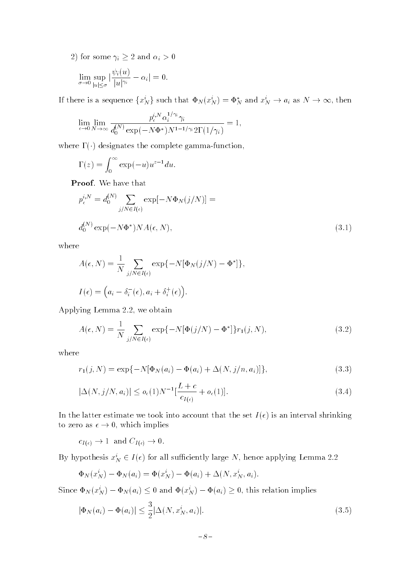$\frac{1}{2}$   $\frac{1}{2}$   $\frac{1}{2}$   $\frac{1}{2}$   $\frac{1}{2}$   $\frac{1}{2}$   $\frac{1}{2}$   $\frac{1}{2}$   $\frac{1}{2}$   $\frac{1}{2}$   $\frac{1}{2}$   $\frac{1}{2}$   $\frac{1}{2}$   $\frac{1}{2}$   $\frac{1}{2}$   $\frac{1}{2}$   $\frac{1}{2}$   $\frac{1}{2}$   $\frac{1}{2}$   $\frac{1}{2}$   $\frac{1}{2}$   $\frac{1}{2}$ 

$$
\lim_{\sigma\to 0}\sup_{|u|\leq\sigma}|\frac{\psi_i(u)}{|u|^{\gamma_i}}-\alpha_i|=0.
$$

If there is a sequence 
$$
\{x_N\}
$$
 such that  $\Psi_N(x_N) = \Psi_N$  and  $x_N \to a_i$  as  $N \to \infty$ , then  
\n
$$
\lim_{\epsilon \to 0} \lim_{N \to \infty} \frac{p_{\epsilon}^{i,N} \alpha_i^{1/\gamma_i} \gamma_i}{d_0^{(N)} \exp(-N\Phi^*)^{N^{1-1/\gamma_i}} 2\Gamma(1/\gamma_i)} = 1,
$$

where  $\Gamma(\cdot)$  designates the complete gamma-function,

$$
\Gamma(z) = \int_0^\infty \exp(-u) u^{z-1} du.
$$

Proof. We have that

$$
p_{\epsilon}^{i,N} = d_0^{(N)} \sum_{j/N \in I(\epsilon)} \exp[-N\Phi_N(j/N)] =
$$
  

$$
d_0^{(N)} \exp(-N\Phi^*) N A(\epsilon, N),
$$
 (3.1)

where

$$
A(\epsilon, N) = \frac{1}{N} \sum_{j/N \in I(\epsilon)} \exp\{-N[\Phi_N(j/N) - \Phi^*]\},
$$
  

$$
I(\epsilon) = (a_i - \delta_i^-(\epsilon), a_i + \delta_i^+(\epsilon)).
$$

Applying Lemma 2.2, we obtain

$$
A(\epsilon, N) = \frac{1}{N} \sum_{j/N \in I(\epsilon)} \exp\{-N[\Phi(j/N) - \Phi^*]\} r_1(j, N), \tag{3.2}
$$

where

$$
r_1(j, N) = \exp\{-N[\Phi_N(a_i) - \Phi(a_i) + \Delta(N, j/n, a_i)]\},\tag{3.3}
$$

$$
|\Delta(N, j/N, a_i)| \le o_{\epsilon}(1)N^{-1}[\frac{L+c}{c_{I(\epsilon)}} + o_{\epsilon}(1)].
$$
\n(3.4)

\nIn the latter estimate we took into account that the set  $I(\epsilon)$  is an interval shrinking.

to zero as ! 0, which implies

 $I(t)$   $-I(t)$ 

By hypothesis  $x_N \in I(\epsilon)$  for all sufficiently large  $N$ , hence applying Lemma 2.2

$$
\Phi_N(x_N^i) - \Phi_N(a_i) = \Phi(x_N^i) - \Phi(a_i) + \Delta(N, x_N^i, a_i).
$$

Since  $\Psi_N(x_N) - \Psi_N(a_i) \leq 0$  and  $\Psi(x_N) - \Psi(a_i) \geq 0$ , this relation implies

$$
|\Phi_N(a_i) - \Phi(a_i)| \le \frac{3}{2} |\Delta(N, x_N^i, a_i)|.
$$
\n(3.5)

$$
-8-
$$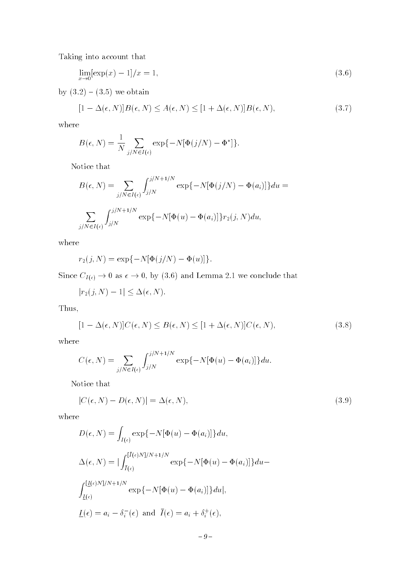Taking into account that

$$
\lim_{x \to 0} [\exp(x) - 1]/x = 1,\tag{3.6}
$$

by  $(3.2) - (3.5)$  we obtain

$$
[1 - \Delta(\epsilon, N)]B(\epsilon, N) \le A(\epsilon, N) \le [1 + \Delta(\epsilon, N)]B(\epsilon, N), \tag{3.7}
$$

where

$$
B(\epsilon, N) = \frac{1}{N} \sum_{j/N \in I(\epsilon)} \exp\{-N[\Phi(j/N) - \Phi^*]\}.
$$

Notice that

$$
B(\epsilon, N) = \sum_{j/N \in I(\epsilon)} \int_{j/N}^{j/N+1/N} \exp\{-N[\Phi(j/N) - \Phi(a_i)]\} du =
$$
  

$$
\sum_{j/N \in I(\epsilon)} \int_{j/N}^{j/N+1/N} \exp\{-N[\Phi(u) - \Phi(a_i)]\} r_2(j, N) du,
$$

where

$$
r_2(j, N) = \exp\{-N[\Phi(j/N) - \Phi(u)]\}.
$$

 $S = \begin{bmatrix} 1 & 0 \\ 0 & 1 \end{bmatrix}$  is the contract of by  $\begin{bmatrix} 0 & 0 \\ 0 & 0 \end{bmatrix}$  and Lemma 2.1 we conclude that

 $|r_2(j,N) - 1| \leq \Delta(\epsilon, N).$ 

Thus,

$$
[1 - \Delta(\epsilon, N)]C(\epsilon, N) \le B(\epsilon, N) \le [1 + \Delta(\epsilon, N)]C(\epsilon, N), \tag{3.8}
$$

where

$$
C(\epsilon, N) = \sum_{j/N \in I(\epsilon)} \int_{j/N}^{j/N + 1/N} \exp\{-N[\Phi(u) - \Phi(a_i)]\} du.
$$

Notice that

$$
|C(\epsilon, N) - D(\epsilon, N)| = \Delta(\epsilon, N), \tag{3.9}
$$

where

$$
D(\epsilon, N) = \int_{I(\epsilon)} \exp\{-N[\Phi(u) - \Phi(a_i)]\} du,
$$
  
\n
$$
\Delta(\epsilon, N) = |\int_{I(\epsilon)}^{[\bar{I}(\epsilon)N]/N + 1/N} \exp\{-N[\Phi(u) - \Phi(a_i)]\} du -
$$
  
\n
$$
\int_{\underline{I}(\epsilon)}^{[\underline{I}(\epsilon)N]/N + 1/N} \exp\{-N[\Phi(u) - \Phi(a_i)]\} du|,
$$
  
\n
$$
\underline{I}(\epsilon) = a_i - \delta_i^-(\epsilon) \text{ and } \bar{I}(\epsilon) = a_i + \delta_i^+(\epsilon),
$$

$$
-9-
$$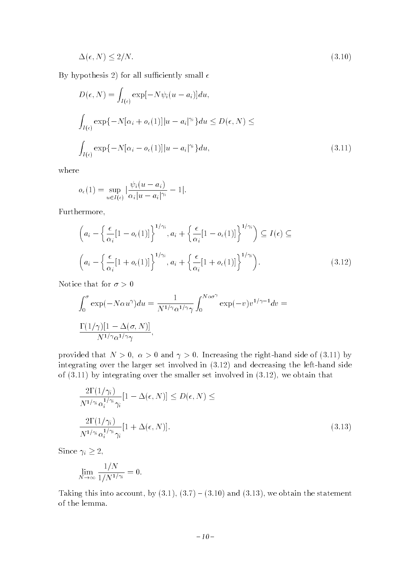$$
\Delta(\epsilon, N) \le 2/N. \tag{3.10}
$$

By hypothesis 2) for all sufficiently small  $\epsilon$ 

$$
D(\epsilon, N) = \int_{I(\epsilon)} \exp[-N\psi_i(u - a_i)]du,
$$
  

$$
\int_{I(\epsilon)} \exp\{-N[\alpha_i + o_{\epsilon}(1)]|u - a_i|^{\gamma_i}\}du \le D(\epsilon, N) \le
$$
  

$$
\int_{I(\epsilon)} \exp\{-N[\alpha_i - o_{\epsilon}(1)]|u - a_i|^{\gamma_i}\}du,
$$
 (3.11)

where

$$
o_{\epsilon}(1) = \sup_{u \in I(\epsilon)} |\frac{\psi_i(u - a_i)}{\alpha_i | u - a_i|^{\gamma_i}} - 1|.
$$

Furthermore,

$$
\left(a_i - \left\{\frac{\epsilon}{\alpha_i} [1 - o_{\epsilon}(1)]\right\}^{1/\gamma_i}, a_i + \left\{\frac{\epsilon}{\alpha_i} [1 - o_{\epsilon}(1)]\right\}^{1/\gamma_i}\right) \subseteq I(\epsilon) \subseteq
$$
\n
$$
\left(a_i - \left\{\frac{\epsilon}{\alpha_i} [1 + o_{\epsilon}(1)]\right\}^{1/\gamma_i}, a_i + \left\{\frac{\epsilon}{\alpha_i} [1 + o_{\epsilon}(1)]\right\}^{1/\gamma_i}\right). \tag{3.12}
$$

Notice that for  $\sigma > 0$ 

$$
\int_0^{\sigma} \exp(-N\alpha u^{\gamma}) du = \frac{1}{N^{1/\gamma} \alpha^{1/\gamma} \gamma} \int_0^{N\alpha \sigma^{\gamma}} \exp(-v) v^{1/\gamma - 1} dv =
$$
  

$$
\frac{\Gamma(1/\gamma)[1 - \Delta(\sigma, N)]}{N^{1/\gamma} \alpha^{1/\gamma} \gamma},
$$

provided that  $N > 0$ ,  $\alpha > 0$  and  $\gamma > 0$ . Increasing the right-hand side of (3.11) by integrating over the larger set involved in (3.12) and decreasing the left-hand side of (3.11) by integrating over the smaller set involved in (3.12), we obtain that

$$
\frac{2\Gamma(1/\gamma_i)}{N^{1/\gamma_i} \alpha_i^{1/\gamma_i} \gamma_i} [1 - \Delta(\epsilon, N)] \le D(\epsilon, N) \le
$$
  

$$
\frac{2\Gamma(1/\gamma_i)}{N^{1/\gamma_i} \alpha_i^{1/\gamma_i} \gamma_i} [1 + \Delta(\epsilon, N)].
$$
 (3.13)

 $\sum_{i=1}^{n}$   $\sum_{i=1}^{n}$   $\sum_{i=1}^{n}$   $\sum_{i=1}^{n}$   $\sum_{i=1}^{n}$   $\sum_{i=1}^{n}$   $\sum_{i=1}^{n}$   $\sum_{i=1}^{n}$   $\sum_{i=1}^{n}$   $\sum_{i=1}^{n}$   $\sum_{i=1}^{n}$   $\sum_{i=1}^{n}$   $\sum_{i=1}^{n}$   $\sum_{i=1}^{n}$   $\sum_{i=1}^{n}$   $\sum_{i=1}^{n}$   $\sum_{i=1}^{n}$ 

$$
\lim_{N \to \infty} \frac{1/N}{1/N^{1/\gamma_i}} = 0.
$$

Taking this into account, by  $(3.1)$ ,  $(3.7) - (3.10)$  and  $(3.13)$ , we obtain the statement of the lemma.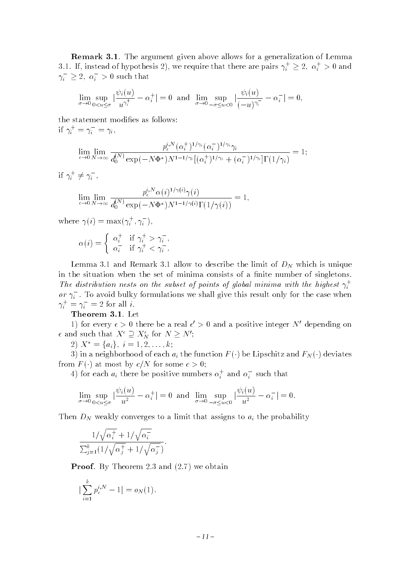**Remark 3.1.** The argument given above allows for a generalization of Lemma 3.1. If, instead of hypothesis 2), we require that there are pairs  $\gamma_i' \geq 2$ ,  $\alpha_i' > 0$  and  $\gamma_i \geq 2, \ \alpha_i > 0$  such that

$$
\lim_{\sigma \to 0} \sup_{0 < u \le \sigma} |\frac{\psi_i(u)}{u^{\gamma_i^+}} - \alpha_i^+| = 0 \text{ and } \lim_{\sigma \to 0} \sup_{-\sigma \le u < 0} |\frac{\psi_i(u)}{(-u)^{\gamma_i^-}} - \alpha_i^-| = 0,
$$

the statement modifies as follows:  $\text{if }\gamma_i\; = \gamma_i \; = \gamma_i,$ 

$$
\lim_{\epsilon \to 0} \lim_{N \to \infty} \frac{p_{\epsilon}^{i,N}(\alpha_i^+)^{1/\gamma_i}(\alpha_i^-)^{1/\gamma_i} \gamma_i}{d_0^{(N)} \exp(-N\Phi^*)^{N^{1-1/\gamma_i}}[(\alpha_i^+)^{1/\gamma_i} + (\alpha_i^-)^{1/\gamma_i}] \Gamma(1/\gamma_i)} = 1;
$$

 $\lim_{i} \gamma_i \neq \gamma_i$ ,

$$
\lim_{\epsilon \to 0} \lim_{N \to \infty} \frac{p_{\epsilon}^{i,N} \alpha(i)^{1/\gamma(i)} \gamma(i)}{d_0^{(N)} \exp(-N\Phi^*) N^{1-1/\gamma(i)} \Gamma(1/\gamma(i))} = 1,
$$

where  $\gamma(i) = \max(\gamma_i, \gamma_i)$ ,

$$
\alpha(i) = \begin{cases} \alpha_i^+ & \text{if } \gamma_i^+ > \gamma_i^-, \\ \alpha_i^- & \text{if } \gamma_i^+ < \gamma_i^-. \end{cases}
$$

Lemma 3.1 and Remark 3.1 allow to describe the limit of  $D<sub>N</sub>$  which is unique in the situation when the set of minima consists of a finite number of singletons. The distribution nests on the subset of points of global minima with the highest  $\gamma_i^+$ in the contract of the contract of *or*  $\gamma_i$  *.* To avoid bulky formulations we shall give this result only for the case when  $\gamma_i$  =  $\gamma_i$  = 2 for all  $i$ .

Theorem 3.1. Let

1) for every  $\epsilon > 0$  there be a real  $\epsilon > 0$  and a positive integer *I*V depending on  $\epsilon$  and such that  $\Lambda \supseteq \Lambda_N$  for  $N \geq N$ ;

2)  $X^* = \{a_i\}, i = 1, 2, \ldots, k;$ 

3) in a neighborhood of each  $a_i$  the function  $F(\cdot)$  be Lipschitz and  $F_N(\cdot)$  deviates from  $F(\cdot)$  at most by  $c/N$  for some  $c > 0$ ;

4) for each  $a_i$  there be positive numbers  $\alpha_i^+$  and  $\alpha_i^-$  such that

$$
\lim_{\sigma \to 0} \sup_{0 < u \le \sigma} |\frac{\psi_i(u)}{u^2} - \alpha_i^+| = 0 \text{ and } \lim_{\sigma \to 0} \sup_{-\sigma \le u < 0} |\frac{\psi_i(u)}{u^2} - \alpha_i^-| = 0.
$$

Then  $D_N$  weakly converges to a limit that assigns to  $a_i$  the probability

$$
\frac{1/\sqrt{\alpha_i^+} + 1/\sqrt{\alpha_i^-}}{\sum_{j=1}^k (1/\sqrt{\alpha_j^+} + 1/\sqrt{\alpha_j^-})}.
$$

Proof. By Theorem 2.3 and  $(2.7)$  we obtain

$$
\left| \sum_{i=1}^{k} p_{\epsilon}^{i,N} - 1 \right| = o_N(1).
$$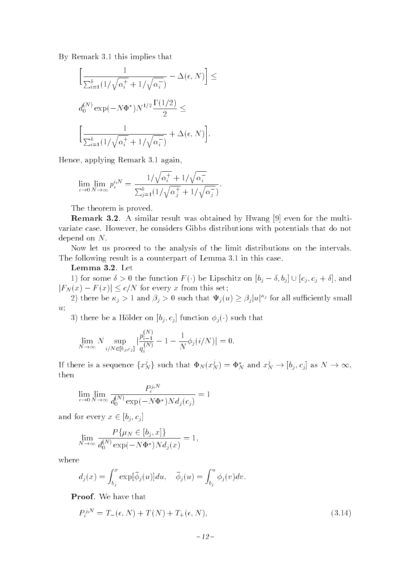By Remark 3.1 this implies that

$$
\left[\frac{1}{\sum_{i=1}^k (1/\sqrt{\alpha_i^+} + 1/\sqrt{\alpha_i^-})} - \Delta(\epsilon, N)\right] \le
$$
  

$$
d_0^{(N)} \exp(-N\Phi^*) N^{1/2} \frac{\Gamma(1/2)}{2} \le
$$
  

$$
\left[\frac{1}{\sum_{i=1}^k (1/\sqrt{\alpha_i^+} + 1/\sqrt{\alpha_i^-})} + \Delta(\epsilon, N)\right].
$$

Hence, applying Remark 3.1 again,

$$
\lim_{\epsilon \to 0} \lim_{N \to \infty} p_{\epsilon}^{i,N} = \frac{1/\sqrt{\alpha_i^+} + 1/\sqrt{\alpha_i^-}}{\sum_{j=1}^k (1/\sqrt{\alpha_j^+} + 1/\sqrt{\alpha_j^-})}.
$$

The theorem is proved.

**Remark 3.2.** A similar result was obtained by Hwang [9] even for the multivariate case. However, he considers Gibbs distributions with potentials that do not depend on N.

Now let us proceed to the analysis of the limit distributions on the intervals. The following result is a counterpart of Lemma 3.1 in this case.

Lemma 3.2. Let

1) for some  $\delta > 0$  the function  $F(\cdot)$  be Lipschitz on  $[b_j - \delta, b_j] \cup [c_j, c_j + \delta]$ , and  $|F_N(x) - F(x)| \le c/N$  for every x from this set;

(2) there be  $\kappa_j > 1$  and  $\beta_j > 0$  such that  $\Psi_j(u)$ ; 2) there be  $\kappa_j > 1$  and  $\rho_j > 0$  such that  $\Psi_j(u) \ge \rho_j |u|^{-j}$  for all sumclently small u;

3) there be a Hölder on  $[b_j, c_j]$  function  $\phi_j(\cdot)$  such that

$$
\lim_{N \to \infty} N \sup_{i/N \in [b_j, c_j]} \left| \frac{p_{i-1}^{(N)}}{q_i^{(N)}} - 1 - \frac{1}{N} \phi_j(i/N) \right| = 0.
$$

If there is a sequence  $\{x_N^{\prime}\}$  s  $\mathcal{L}_N$  such that  $\Psi_N(x_N^*) = \Psi_N^*$  and  $x_N^* \to$  $N \left(1 - j, -j\right)$  as  $N \left(1 - j, j\right)$ then

$$
\lim_{\epsilon \to 0} \lim_{N \to \infty} \frac{P_{\epsilon}^{j,N}}{d_0^{(N)} \exp(-N\Phi^*) N d_j(c_j)} = 1
$$

 $\alpha$  2  $\alpha$   $\alpha$   $\beta$   $\beta$   $\beta$ 

$$
\lim_{N \to \infty} \frac{P\{\mu_N \in [b_j, x]\}}{d_0^{(N)} \exp(-N\Phi^*) N d_j(x)} = 1,
$$

where

$$
d_j(x) = \int_{b_j}^x \exp[\bar{\phi}_j(u)]du, \quad \bar{\phi}_j(u) = \int_{b_j}^u \phi_j(v)dv.
$$

Proof. We have that

$$
P_{\epsilon}^{j,N} = T_{-}(\epsilon, N) + T(N) + T_{+}(\epsilon, N), \qquad (3.14)
$$

$$
-12\,-
$$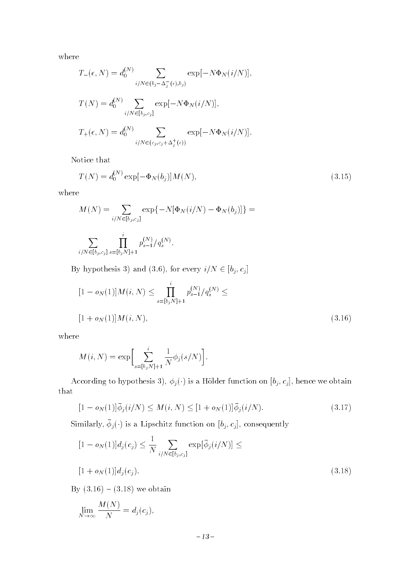where

$$
T_{-}(\epsilon, N) = d_0^{(N)} \sum_{i/N \in (b_j - \Delta_j^-(\epsilon), b_j)} \exp[-N\Phi_N(i/N)],
$$
  
\n
$$
T(N) = d_0^{(N)} \sum_{i/N \in [b_j, c_j]} \exp[-N\Phi_N(i/N)],
$$
  
\n
$$
T_{+}(\epsilon, N) = d_0^{(N)} \sum_{i/N \in (c_j, c_j + \Delta_j^+(\epsilon))} \exp[-N\Phi_N(i/N)].
$$

Notice that

$$
T(N) = d_0^{(N)} \exp[-\Phi_N(b_j)]M(N), \qquad (3.15)
$$

where

$$
M(N) = \sum_{i/N \in [b_j, c_j]} \exp\{-N[\Phi_N(i/N) - \Phi_N(b_j)]\} =
$$
  

$$
\sum_{i/N \in [b_j, c_j]} \prod_{s=[b_j, N]+1}^{i} p_{s-1}^{(N)}/q_s^{(N)}.
$$

 $\mathcal{B}$  and  $\mathcal{B}$  is the size  $\mathcal{B}$  (3.6), for every if  $\mathcal{B}$  if  $\mathcal{B}$  is  $\mathcal{B}$  if  $\mathcal{B}$ 

$$
[1 - o_N(1)]M(i, N) \le \prod_{s=[b_jN]+1}^{i} p_{s-1}^{(N)} / q_s^{(N)} \le
$$
  
[1 + o\_N(1)]M(i, N), (3.16)

where

$$
M(i, N) = \exp \left[ \sum_{s=[b_j N]+1}^{i} \frac{1}{N} \phi_j(s/N) \right].
$$

According to hypothesis 3),  $\phi_j(\cdot)$  is a Hölder function on  $[b_j, c_j]$ , hence we obtain that

$$
[1 - o_N(1)]\bar{\phi}_j(i/N) \le M(i, N) \le [1 + o_N(1)]\bar{\phi}_j(i/N). \tag{3.17}
$$

 $\beta$ imilarly,  $\varphi_j(\cdot)$  is a Lipschitz function on  $[v_j, c_j]$ , consequently

$$
[1 - o_N(1)]d_j(c_j) \le \frac{1}{N} \sum_{i/N \in [b_j, c_j]} \exp[\bar{\phi}_j(i/N)] \le
$$
  
[1 + o\_N(1)]d\_j(c\_j). (3.18)

By  $(3.16) - (3.18)$  we obtain

$$
\lim_{N \to \infty} \frac{M(N)}{N} = d_j(c_j),
$$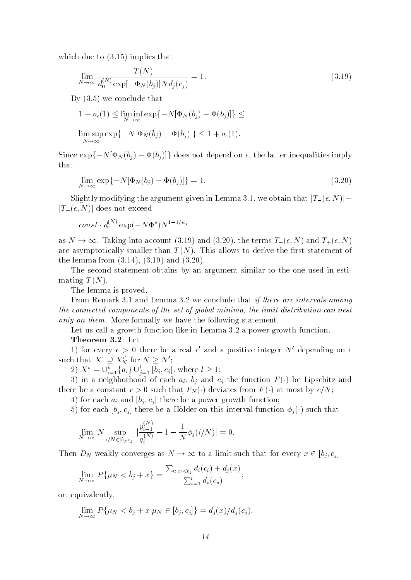which due to  $(3.15)$  implies that

$$
\lim_{N \to \infty} \frac{T(N)}{d_0^{(N)} \exp[-\Phi_N(b_j)] N d_j(c_j)} = 1.
$$
\n(3.19)

By (3.5) we conclude that

$$
1 - o_{\epsilon}(1) \le \liminf_{N \to \infty} \exp\{-N[\Phi_N(b_j) - \Phi(b_j)]\} \le
$$
  

$$
\limsup_{N \to \infty} \exp\{-N[\Phi_N(b_j) - \Phi(b_j)]\} \le 1 + o_{\epsilon}(1).
$$

Since  $\exp\{-N[\Phi_N(b_j) - \Phi(b_j)]\}$  does not depend on  $\epsilon$ , the latter inequalities imply that

$$
\lim_{N \to \infty} \exp\{-N[\Phi_N(b_j) - \Phi(b_j)]\} = 1. \tag{3.20}
$$

Slightly modifying the argument given in Lemma 3.1, we obtain that  $|T_{-}(\epsilon, N)|+$  $|T_{+}(\epsilon, N)|$  does not exceed

$$
const \cdot d_0^{(N)} \exp(-N\Phi^*) N^{1-1/\kappa_j}
$$

are asymptotically smaller than  $T(N)$ . This allows to derive the first statement of the lemma from (3.14), (3.19) and (3.20). are asymptotically smaller than T (N). This allows to derive the rst statement of the lemma from (3.14), (3.19) and (3.20).

The second statement obtains by an argument similar to the one used in estimating  $T(N)$ .

The lemma is proved.

From Remark 3.1 and Lemma 3.2 we conclude that *if there are intervals among* the connected components of the set of global minima, the limit distribution can nest only on them. More formally we have the following statement.

Let us call a growth function like in Lemma 3.2 a power growth function.

#### Theorem 3.2. Let

1) for every  $\epsilon > 0$  there be a real  $\epsilon$  and a positive integer N depending on  $\epsilon$ such that  $X^{\epsilon} \supseteq X^{\epsilon}_{N}$  for  $N \geq N'$ ;

 $Z_j \Lambda = \bigcup_{i=1}^n \{a_i\} \cup_{j=1}^n [b_j, c_j],$  where  $l \geq$ 

 $i=1$ { $a_i$ }  $\cup_{j=1}^{n}$  [ $b_j$ ]<br>ighborhood of extent  $c > 0$  suc 3) in a neighborhood of each  $a_i$ ,  $b_i$  and  $c_i$  the function  $F(\cdot)$  be Lipschitz and 3) in a neighborhood of each ai, bj and cj the function <sup>F</sup> () be Lipschitz and

4) for each  $a_i$  and  $[b_i, c_j]$  there be a power growth function;

5) for each  $[b_i, c_j]$  there be a Hölder on this interval function  $\phi_i(\cdot)$  such that

$$
\lim_{N \to \infty} N \sup_{i/N \in [b_j, c_j]} \left| \frac{p_{i-1}^{(N)}}{q_i^{(N)}} - 1 - \frac{1}{N} \phi_j(i/N) \right| = 0.
$$

Then  $D_N$  weakly converges as  $N \to \infty$  to a limit such that for every  $x \in [b_i, c_i]$ 

$$
\lim_{N \to \infty} P\{\mu_N < b_j + x\} = \frac{\sum_{i: \, c_i < b_j} d_i(c_i) + d_j(x)}{\sum_{s=1}^l d_s(c_s)},
$$

or, equivalently,

$$
\lim_{N \to \infty} P\{\mu_N < b_j + x | \mu_N \in [b_j, c_j] \} = d_j(x) / d_j(c_j).
$$

$$
-14\,-
$$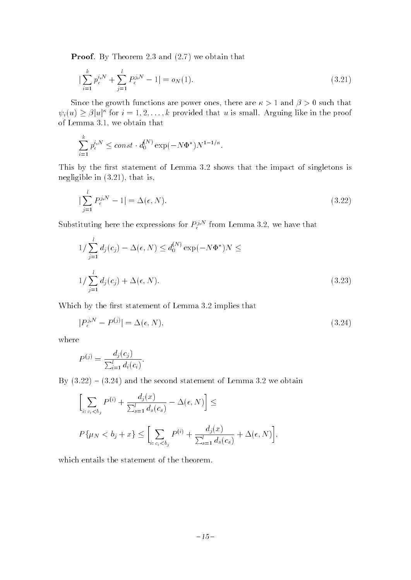Proof. By Theorem 2.3 and  $(2.7)$  we obtain that

$$
\left| \sum_{i=1}^{k} p_{\epsilon}^{i,N} + \sum_{j=1}^{l} P_{\epsilon}^{j,N} - 1 \right| = o_N(1). \tag{3.21}
$$

Since the growth functions are power ones, there are  $\kappa > 1$  and  $\beta > 0$  such that  $\psi_i(u) \ge \beta |u|$  for  $i = 1, 2, \ldots, \kappa$  provided that u is small. Arguing like in the proof of Lemma 3.1, we obtain that

$$
\sum_{i=1}^k p_{\epsilon}^{i,N} \le const \cdot d_0^{(N)} \exp(-N\Phi^*) N^{1-1/\kappa}.
$$

This by the first statement of Lemma  $3.2$  shows that the impact of singletons is negligible in (3.21), that is,

$$
|\sum_{j=1}^{l} P_{\epsilon}^{j,N} - 1| = \Delta(\epsilon, N). \tag{3.22}
$$

Substituting here the expressions for  $P_{\epsilon}^{(N)}$  from Lemma 3.2, we have that

$$
1/\sum_{j=1}^{l} d_j(c_j) - \Delta(\epsilon, N) \le d_0^{(N)} \exp(-N\Phi^*)N \le
$$
  

$$
1/\sum_{j=1}^{l} d_j(c_j) + \Delta(\epsilon, N).
$$
 (3.23)

Which by the first statement of Lemma 3.2 implies that

$$
|P_{\epsilon}^{j,N} - P^{(j)}| = \Delta(\epsilon, N),\tag{3.24}
$$

where

$$
P^{(j)} = \frac{d_j(c_j)}{\sum_{i=1}^l d_i(c_i)}.
$$

By  $(3.22) - (3.24)$  and the second statement of Lemma 3.2 we obtain

$$
\left[\sum_{i:\,c_i\n
$$
P\{\mu_N < b_j + x\} \le \left[\sum_{i:\,c_i\nwhich entails the statement of the theorem.
$$
$$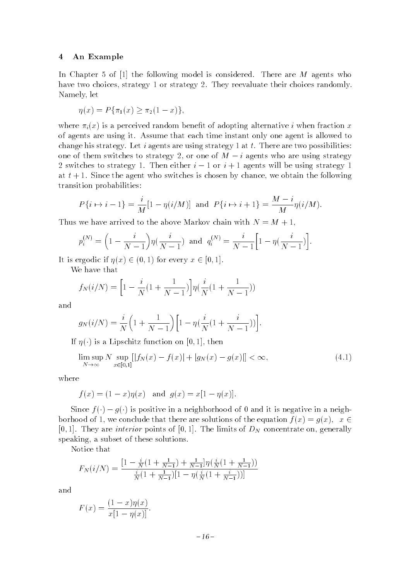#### 4 An Example

In Chapter 5 of  $[1]$  the following model is considered. There are M agents who have two choices, strategy 1 or strategy 2. They reevaluate their choices randomly. Namely, let

$$
\eta(x) = P\{\pi_1(x) \ge \pi_2(1-x)\},\
$$

where  $\pi_i(x)$  is a perceived random benefit of adopting alternative i when fraction x of agents are using it. Assume that each time instant only one agent is allowed to change his strategy. Let i agents are using strategy 1 at  $t$ . There are two possibilities: one of them switches to strategy 2, or one of  $M - i$  agents who are using strategy 2 switches to strategy 1. Then either  $i-1$  or  $i+1$  agents will be using strategy 1 at  $t + 1$ . Since the agent who switches is chosen by chance, we obtain the following transition probabilities:

$$
P\{i \mapsto i-1\} = \frac{i}{M}[1 - \eta(i/M)]
$$
 and  $P\{i \mapsto i+1\} = \frac{M-i}{M}\eta(i/M).$ 

Thus we have arrived to the above Markov chain with  $N = M + 1$ ,

$$
p_i^{(N)} = \left(1 - \frac{i}{N-1}\right) \eta\left(\frac{i}{N-1}\right) \text{ and } q_i^{(N)} = \frac{i}{N-1} \left[1 - \eta\left(\frac{i}{N-1}\right)\right].
$$

 $\mathbf{W} = \begin{bmatrix} 1 & 1 \\ 0 & 1 \end{bmatrix}$  is the set of  $\begin{bmatrix} 0 \\ 0 \end{bmatrix}$ ,  $\begin{bmatrix} 0 \\ 1 \end{bmatrix}$ .

We have that

$$
f_N(i/N) = \left[1 - \frac{i}{N}(1 + \frac{1}{N-1})\right] \eta(\frac{i}{N}(1 + \frac{1}{N-1}))
$$

and

$$
g_N(i/N) = \frac{i}{N} \left( 1 + \frac{1}{N-1} \right) \left[ 1 - \eta \left( \frac{i}{N} (1 + \frac{i}{N-1}) \right) \right].
$$

If  $\eta(\cdot)$  is a Lipschitz function on [0, 1], then

$$
\limsup_{N \to \infty} N \sup_{x \in [0,1]} [|f_N(x) - f(x)| + |g_N(x) - g(x)|] < \infty,
$$
\n(4.1)

where

$$
f(x) = (1 - x)\eta(x)
$$
 and  $g(x) = x[1 - \eta(x)].$ 

borhood of 1, we conclude that there are solutions of the equation  $f(x) = g(x)$ ,  $x \in$  $\frac{2}{1}$ [0,1]. They are *interior* points of [0,1]. The limits of  $D<sub>N</sub>$  concentrate on, generally speaking, a subset of these solutions.

Notice that

$$
F_N(i/N) = \frac{\left[1 - \frac{i}{N}\left(1 + \frac{1}{N-1}\right) + \frac{1}{N-1}\right]\eta\left(\frac{i}{N}\left(1 + \frac{1}{N-1}\right)\right)}{\frac{i}{N}\left(1 + \frac{1}{N-1}\right)\left[1 - \eta\left(\frac{i}{N}\left(1 + \frac{i}{N-1}\right)\right)\right]}
$$

and

$$
F(x) = \frac{(1-x)\eta(x)}{x[1-\eta(x)]}.
$$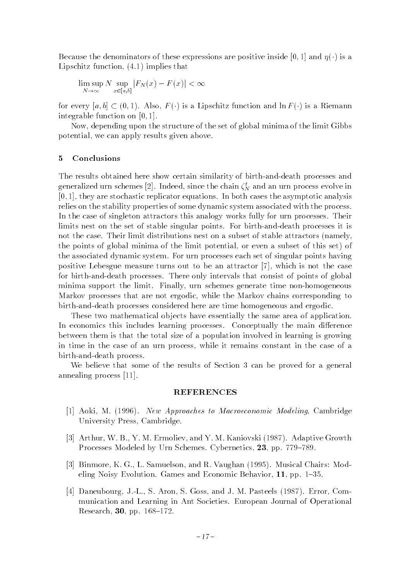Because the denominators of these expressions are positive inside [0, 1] and  $\eta(\cdot)$  is a Lipschitz function, (4.1) implies that

$$
\limsup_{N \to \infty} N \sup_{x \in [a,b]} |F_N(x) - F(x)| < \infty
$$

for every  $\left(0, 1\right)$ . In  $\left(0, 1\right)$ . For  $\left(1, 1\right)$  is a  $\left(0, 1\right)$ . integrable function on  $[0, 1]$ .

Now, depending upon the structure of the set of global minima of the limit Gibbs potential, we can apply results given above.

#### 5 Conclusions

The results obtained here show certain similarity of birth-and-death processes and generalized urn schemes [2]. Indeed, since the chain  $\zeta_N$  and an urn process evolve in  $[0, 1]$ , they are stochastic replicator equations. In both cases the asymptotic analysis relies on the stability properties of some dynamic system associated with the process. In the case of singleton attractors this analogy works fully for urn processes. Their limits nest on the set of stable singular points. For birth-and-death processes it is not the case. Their limit distributions nest on a subset of stable attractors (namely, the points of global minima of the limit potential, or even a subset of this set) of the associated dynamic system. For urn processes each set of singular points having positive Lebesgue measure turns out to be an attractor [7], which is not the case for birth-and-death processes. There only intervals that consist of points of global minima support the limit. Finally, urn schemes generate time non-homogeneous Markov processes that are not ergodic, while the Markov chains corresponding to birth-and-death processes considered here are time homogeneous and ergodic.

These two mathematical objects have essentially the same area of application. In economics this includes learning processes. Conceptually the main difference between them is that the total size of a population involved in learning is growing in time in the case of an urn process, while it remains constant in the case of a birth-and-death process.

We believe that some of the results of Section 3 can be proved for a general annealing process [11].

#### REFERENCES

- [1] Aoki, M. (1996). New Approaches to Macroeconomic Modeling, Cambridge University Press, Cambridge.
- [3] Arthur, W. B., Y. M. Ermoliev, and Y. M. Kaniovski (1987). Adaptive Growth Processes Modeled by Urn Schemes. Cybernetics, 23, pp. 779–789.
- [3] Binmore, K. G., L. Samuelson, and R. Vaughan (1995). Musical Chairs: Modeling Noisy Evolution. Games and Economic Behavior,  $11$ , pp. 1-35.
- [4] Daneubourg, J.-L., S. Aron, S. Goss, and J. M. Pasteels (1987). Error, Communication and Learning in Ant Societies. European Journal of Operational Research, 30, pp.  $168-172$ .